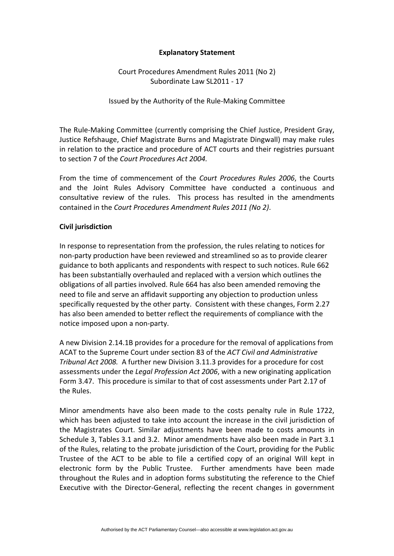## **Explanatory Statement**

Court Procedures Amendment Rules 2011 (No 2) Subordinate Law SL2011 ‐ 17

Issued by the Authority of the Rule‐Making Committee

The Rule‐Making Committee (currently comprising the Chief Justice, President Gray, Justice Refshauge, Chief Magistrate Burns and Magistrate Dingwall) may make rules in relation to the practice and procedure of ACT courts and their registries pursuant to section 7 of the *Court Procedures Act 2004.* 

From the time of commencement of the *Court Procedures Rules 2006*, the Courts and the Joint Rules Advisory Committee have conducted a continuous and consultative review of the rules. This process has resulted in the amendments contained in the *Court Procedures Amendment Rules 2011 (No 2)*.

## **Civil jurisdiction**

In response to representation from the profession, the rules relating to notices for non‐party production have been reviewed and streamlined so as to provide clearer guidance to both applicants and respondents with respect to such notices. Rule 662 has been substantially overhauled and replaced with a version which outlines the obligations of all parties involved. Rule 664 has also been amended removing the need to file and serve an affidavit supporting any objection to production unless specifically requested by the other party. Consistent with these changes, Form 2.27 has also been amended to better reflect the requirements of compliance with the notice imposed upon a non‐party.

A new Division 2.14.1B provides for a procedure for the removal of applications from ACAT to the Supreme Court under section 83 of the *ACT Civil and Administrative Tribunal Act 2008.* A further new Division 3.11.3 provides for a procedure for cost assessments under the *Legal Profession Act 2006*, with a new originating application Form 3.47. This procedure is similar to that of cost assessments under Part 2.17 of the Rules.

Minor amendments have also been made to the costs penalty rule in Rule 1722, which has been adjusted to take into account the increase in the civil jurisdiction of the Magistrates Court. Similar adjustments have been made to costs amounts in Schedule 3, Tables 3.1 and 3.2. Minor amendments have also been made in Part 3.1 of the Rules, relating to the probate jurisdiction of the Court, providing for the Public Trustee of the ACT to be able to file a certified copy of an original Will kept in electronic form by the Public Trustee. Further amendments have been made throughout the Rules and in adoption forms substituting the reference to the Chief Executive with the Director‐General, reflecting the recent changes in government